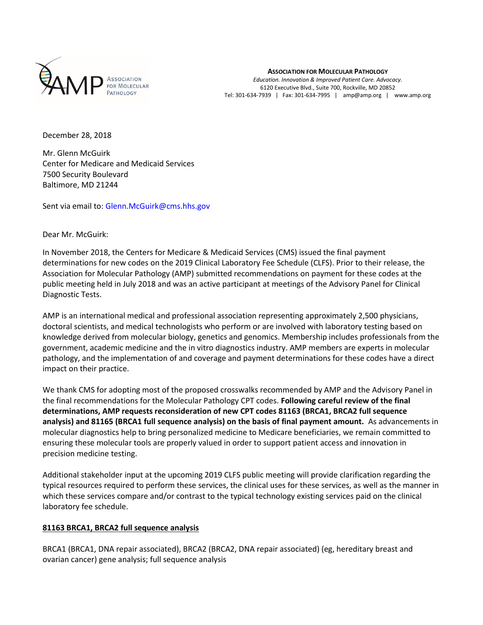

**ASSOCIATION FOR MOLECULAR PATHOLOGY**

*Education. Innovation & Improved Patient Care. Advocacy.* 6120 Executive Blvd., Suite 700, Rockville, MD 20852 Tel: 301-634-7939 | Fax: 301-634-7995 | amp@amp.org | www.amp.org

December 28, 2018

Mr. Glenn McGuirk Center for Medicare and Medicaid Services 7500 Security Boulevard Baltimore, MD 21244

Sent via email to: Glenn.McGuirk@cms.hhs.gov

Dear Mr. McGuirk:

In November 2018, the Centers for Medicare & Medicaid Services (CMS) issued the final payment determinations for new codes on the 2019 Clinical Laboratory Fee Schedule (CLFS). Prior to their release, the Association for Molecular Pathology (AMP) submitted recommendations on payment for these codes at the public meeting held in July 2018 and was an active participant at meetings of the Advisory Panel for Clinical Diagnostic Tests.

AMP is an international medical and professional association representing approximately 2,500 physicians, doctoral scientists, and medical technologists who perform or are involved with laboratory testing based on knowledge derived from molecular biology, genetics and genomics. Membership includes professionals from the government, academic medicine and the in vitro diagnostics industry. AMP members are experts in molecular pathology, and the implementation of and coverage and payment determinations for these codes have a direct impact on their practice.

We thank CMS for adopting most of the proposed crosswalks recommended by AMP and the Advisory Panel in the final recommendations for the Molecular Pathology CPT codes. **Following careful review of the final determinations, AMP requests reconsideration of new CPT codes 81163 (BRCA1, BRCA2 full sequence analysis) and 81165 (BRCA1 full sequence analysis) on the basis of final payment amount.** As advancements in molecular diagnostics help to bring personalized medicine to Medicare beneficiaries, we remain committed to ensuring these molecular tools are properly valued in order to support patient access and innovation in precision medicine testing.

Additional stakeholder input at the upcoming 2019 CLFS public meeting will provide clarification regarding the typical resources required to perform these services, the clinical uses for these services, as well as the manner in which these services compare and/or contrast to the typical technology existing services paid on the clinical laboratory fee schedule.

## **81163 BRCA1, BRCA2 full sequence analysis**

BRCA1 (BRCA1, DNA repair associated), BRCA2 (BRCA2, DNA repair associated) (eg, hereditary breast and ovarian cancer) gene analysis; full sequence analysis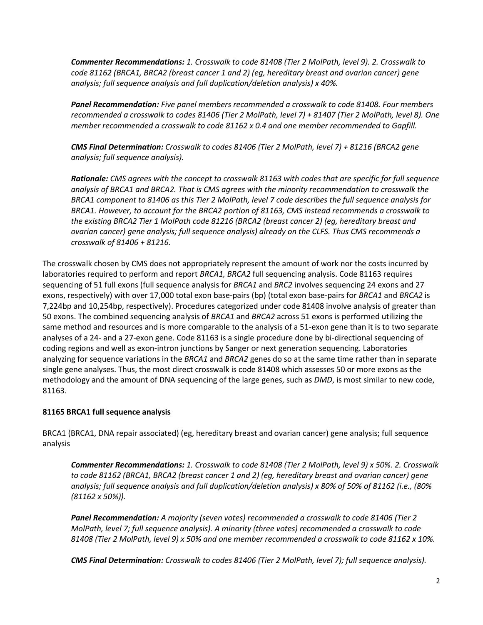*Commenter Recommendations: 1. Crosswalk to code 81408 (Tier 2 MolPath, level 9). 2. Crosswalk to code 81162 (BRCA1, BRCA2 (breast cancer 1 and 2) (eg, hereditary breast and ovarian cancer) gene analysis; full sequence analysis and full duplication/deletion analysis) x 40%.*

*Panel Recommendation: Five panel members recommended a crosswalk to code 81408. Four members recommended a crosswalk to codes 81406 (Tier 2 MolPath, level 7) + 81407 (Tier 2 MolPath, level 8). One member recommended a crosswalk to code 81162 x 0.4 and one member recommended to Gapfill.* 

*CMS Final Determination: Crosswalk to codes 81406 (Tier 2 MolPath, level 7) + 81216 (BRCA2 gene analysis; full sequence analysis).*

*Rationale: CMS agrees with the concept to crosswalk 81163 with codes that are specific for full sequence analysis of BRCA1 and BRCA2. That is CMS agrees with the minority recommendation to crosswalk the BRCA1 component to 81406 as this Tier 2 MolPath, level 7 code describes the full sequence analysis for BRCA1. However, to account for the BRCA2 portion of 81163, CMS instead recommends a crosswalk to the existing BRCA2 Tier 1 MolPath code 81216 (BRCA2 (breast cancer 2) (eg, hereditary breast and ovarian cancer) gene analysis; full sequence analysis) already on the CLFS. Thus CMS recommends a crosswalk of 81406 + 81216.* 

The crosswalk chosen by CMS does not appropriately represent the amount of work nor the costs incurred by laboratories required to perform and report *BRCA1, BRCA2* full sequencing analysis. Code 81163 requires sequencing of 51 full exons (full sequence analysis for *BRCA1* and *BRC2* involves sequencing 24 exons and 27 exons, respectively) with over 17,000 total exon base-pairs (bp) (total exon base-pairs for *BRCA1* and *BRCA2* is 7,224bp and 10,254bp, respectively). Procedures categorized under code 81408 involve analysis of greater than 50 exons. The combined sequencing analysis of *BRCA1* and *BRCA2* across 51 exons is performed utilizing the same method and resources and is more comparable to the analysis of a 51-exon gene than it is to two separate analyses of a 24- and a 27-exon gene. Code 81163 is a single procedure done by bi-directional sequencing of coding regions and well as exon-intron junctions by Sanger or next generation sequencing. Laboratories analyzing for sequence variations in the *BRCA1* and *BRCA2* genes do so at the same time rather than in separate single gene analyses. Thus, the most direct crosswalk is code 81408 which assesses 50 or more exons as the methodology and the amount of DNA sequencing of the large genes, such as *DMD*, is most similar to new code, 81163.

## **81165 BRCA1 full sequence analysis**

BRCA1 (BRCA1, DNA repair associated) (eg, hereditary breast and ovarian cancer) gene analysis; full sequence analysis

*Commenter Recommendations: 1. Crosswalk to code 81408 (Tier 2 MolPath, level 9) x 50%. 2. Crosswalk to code 81162 (BRCA1, BRCA2 (breast cancer 1 and 2) (eg, hereditary breast and ovarian cancer) gene analysis; full sequence analysis and full duplication/deletion analysis) x 80% of 50% of 81162 (i.e., (80% (81162 x 50%)).*

*Panel Recommendation: A majority (seven votes) recommended a crosswalk to code 81406 (Tier 2 MolPath, level 7; full sequence analysis). A minority (three votes) recommended a crosswalk to code 81408 (Tier 2 MolPath, level 9) x 50% and one member recommended a crosswalk to code 81162 x 10%.* 

*CMS Final Determination: Crosswalk to codes 81406 (Tier 2 MolPath, level 7); full sequence analysis).*